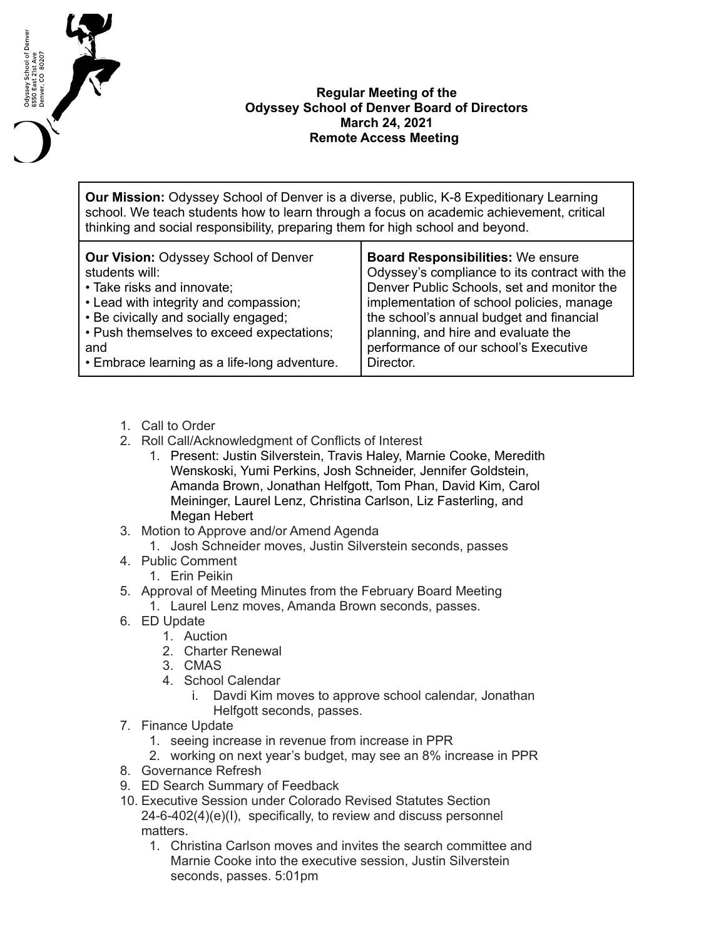

## **Regular Meeting of the Odyssey School of Denver Board of Directors March 24, 2021 Remote Access Meeting**

**Our Mission:** Odyssey School of Denver is a diverse, public, K-8 Expeditionary Learning school. We teach students how to learn through a focus on academic achievement, critical thinking and social responsibility, preparing them for high school and beyond.

| <b>Our Vision: Odyssey School of Denver</b>  | <b>Board Responsibilities: We ensure</b>      |
|----------------------------------------------|-----------------------------------------------|
| students will:                               | Odyssey's compliance to its contract with the |
| • Take risks and innovate;                   | Denver Public Schools, set and monitor the    |
| • Lead with integrity and compassion;        | implementation of school policies, manage     |
| • Be civically and socially engaged;         | the school's annual budget and financial      |
| • Push themselves to exceed expectations;    | planning, and hire and evaluate the           |
| and                                          | performance of our school's Executive         |
| • Embrace learning as a life-long adventure. | Director.                                     |

- 1. Call to Order
- 2. Roll Call/Acknowledgment of Conflicts of Interest
	- 1. Present: Justin Silverstein, Travis Haley, Marnie Cooke, Meredith Wenskoski, Yumi Perkins, Josh Schneider, Jennifer Goldstein, Amanda Brown, Jonathan Helfgott, Tom Phan, David Kim, Carol Meininger, Laurel Lenz, Christina Carlson, Liz Fasterling, and Megan Hebert
- 3. Motion to Approve and/or Amend Agenda
	- 1. Josh Schneider moves, Justin Silverstein seconds, passes
- 4. Public Comment
	- 1. Erin Peikin
- 5. Approval of Meeting Minutes from the February Board Meeting 1. Laurel Lenz moves, Amanda Brown seconds, passes.
- 6. ED Update
	- 1. Auction
	- 2. Charter Renewal
	- 3. CMAS
	- 4. School Calendar
		- i. Davdi Kim moves to approve school calendar, Jonathan Helfgott seconds, passes.
- 7. Finance Update
	- 1. seeing increase in revenue from increase in PPR
	- 2. working on next year's budget, may see an 8% increase in PPR
- 8. Governance Refresh
- 9. ED Search Summary of Feedback
- 10. Executive Session under Colorado Revised Statutes Section 24-6-402(4)(e)(I), specifically, to review and discuss personnel matters.
	- 1. Christina Carlson moves and invites the search committee and Marnie Cooke into the executive session, Justin Silverstein seconds, passes. 5:01pm